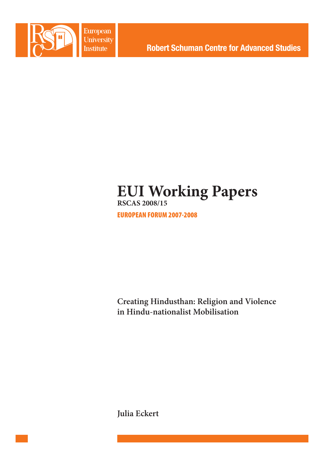

European University **Institute** 

**Robert Schuman Centre for Advanced Studies** 

# **EUI Working Papers RSCAS 2008/15**

EUROPEAN FORUM 2007-2008

**Creating Hindusthan: Religion and Violence in Hindu-nationalist Mobilisation** 

**Julia Eckert**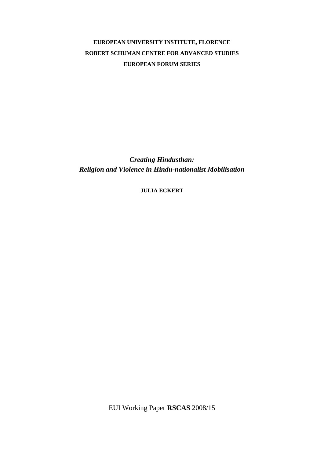# **EUROPEAN UNIVERSITY INSTITUTE, FLORENCE ROBERT SCHUMAN CENTRE FOR ADVANCED STUDIES EUROPEAN FORUM SERIES**

*Creating Hindusthan: Religion and Violence in Hindu-nationalist Mobilisation* 

**JULIA ECKERT**

EUI Working Paper **RSCAS** 2008/15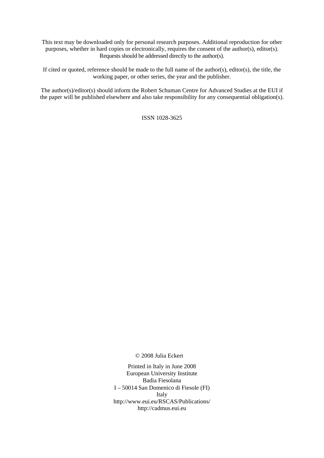This text may be downloaded only for personal research purposes. Additional reproduction for other purposes, whether in hard copies or electronically, requires the consent of the author(s), editor(s). Requests should be addressed directly to the author(s).

If cited or quoted, reference should be made to the full name of the author(s), editor(s), the title, the working paper, or other series, the year and the publisher.

The author(s)/editor(s) should inform the Robert Schuman Centre for Advanced Studies at the EUI if the paper will be published elsewhere and also take responsibility for any consequential obligation(s).

ISSN 1028-3625

© 2008 Julia Eckert

Printed in Italy in June 2008 European University Institute Badia Fiesolana I – 50014 San Domenico di Fiesole (FI) Italy http://www.eui.eu/RSCAS/Publications/ http://cadmus.eui.eu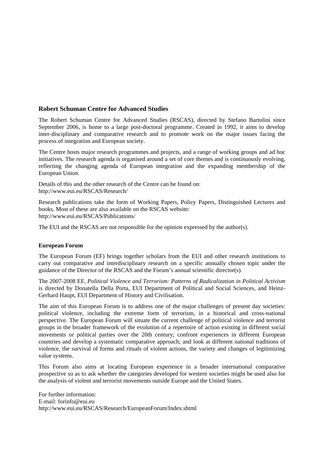# **Robert Schuman Centre for Advanced Studies**

The Robert Schuman Centre for Advanced Studies (RSCAS), directed by Stefano Bartolini since September 2006, is home to a large post-doctoral programme. Created in 1992, it aims to develop inter-disciplinary and comparative research and to promote work on the major issues facing the process of integration and European society.

The Centre hosts major research programmes and projects, and a range of working groups and ad hoc initiatives. The research agenda is organised around a set of core themes and is continuously evolving, reflecting the changing agenda of European integration and the expanding membership of the European Union.

Details of this and the other research of the Centre can be found on: http://www.eui.eu/RSCAS/Research/

Research publications take the form of Working Papers, Policy Papers, Distinguished Lectures and books. Most of these are also available on the RSCAS website: http://www.eui.eu/RSCAS/Publications/

The EUI and the RSCAS are not responsible for the opinion expressed by the author(s).

# **European Forum**

The European Forum (EF) brings together scholars from the EUI and other research institutions to carry out comparative and interdisciplinary research on a specific annually chosen topic under the guidance of the Director of the RSCAS and the Forum's annual scientific director(s).

The 2007-2008 EF, *Political Violence and Terrorism: Patterns of Radicalization in Political Activism* is directed by Donatella Della Porta, EUI Department of Political and Social Sciences, and Heinz-Gerhard Haupt, EUI Department of History and Civilisation.

The aim of this European Forum is to address one of the major challenges of present day societies: political violence, including the extreme form of terrorism, in a historical and cross-national perspective. The European Forum will situate the current challenge of political violence and terrorist groups in the broader framework of the evolution of a repertoire of action existing in different social movements or political parties over the 20th century; confront experiences in different European countries and develop a systematic comparative approach; and look at different national traditions of violence, the survival of forms and rituals of violent actions, the variety and changes of legitimizing value systems.

This Forum also aims at locating European experience in a broader international comparative prospective so as to ask whether the categories developed for western societies might be used also for the analysis of violent and terrorist movements outside Europe and the United States.

For further information: E-mail: forinfo@eui.eu http://www.eui.eu/RSCAS/Research/EuropeanForum/Index.shtml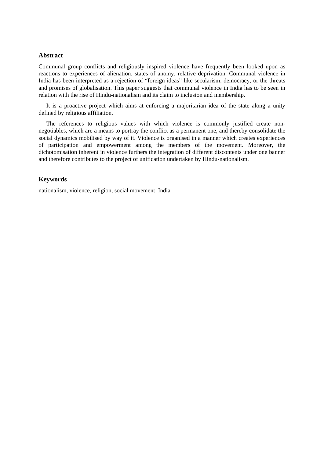# **Abstract**

Communal group conflicts and religiously inspired violence have frequently been looked upon as reactions to experiences of alienation, states of anomy, relative deprivation. Communal violence in India has been interpreted as a rejection of "foreign ideas" like secularism, democracy, or the threats and promises of globalisation. This paper suggests that communal violence in India has to be seen in relation with the rise of Hindu-nationalism and its claim to inclusion and membership.

It is a proactive project which aims at enforcing a majoritarian idea of the state along a unity defined by religious affiliation.

The references to religious values with which violence is commonly justified create nonnegotiables, which are a means to portray the conflict as a permanent one, and thereby consolidate the social dynamics mobilised by way of it. Violence is organised in a manner which creates experiences of participation and empowerment among the members of the movement. Moreover, the dichotomisation inherent in violence furthers the integration of different discontents under one banner and therefore contributes to the project of unification undertaken by Hindu-nationalism.

# **Keywords**

nationalism, violence, religion, social movement, India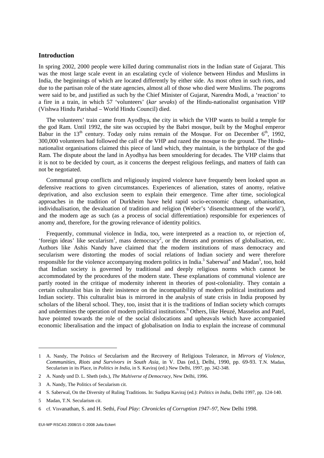# **Introduction**

In spring 2002, 2000 people were killed during communalist riots in the Indian state of Gujarat. This was the most large scale event in an escalating cycle of violence between Hindus and Muslims in India, the beginnings of which are located differently by either side. As most often in such riots, and due to the partisan role of the state agencies, almost all of those who died were Muslims. The pogroms were said to be, and justified as such by the Chief Minister of Gujarat, Narendra Modi, a 'reaction' to a fire in a train, in which 57 'volunteers' (*kar sevaks*) of the Hindu-nationalist organisation VHP (Vishwa Hindu Parishad – World Hindu Council) died.

The volunteers' train came from Ayodhya, the city in which the VHP wants to build a temple for the god Ram. Until 1992, the site was occupied by the Babri mosque, built by the Moghul emperor Babur in the 13<sup>th</sup> century. Today only ruins remain of the Mosque. For on December  $6<sup>th</sup>$ , 1992, 300,000 volunteers had followed the call of the VHP and razed the mosque to the ground. The Hindunationalist organisations claimed this piece of land which, they maintain, is the birthplace of the god Ram. The dispute about the land in Ayodhya has been smouldering for decades. The VHP claims that it is not to be decided by court, as it concerns the deepest religious feelings, and matters of faith can not be negotiated.

Communal group conflicts and religiously inspired violence have frequently been looked upon as defensive reactions to given circumstances. Experiences of alienation, states of anomy, relative deprivation, and also exclusion seem to explain their emergence. Time after time, sociological approaches in the tradition of Durkheim have held rapid socio-economic change, urbanisation, individualisation, the devaluation of tradition and religion (Weber's 'disenchantment of the world'), and the modern age as such (as a process of social differentiation) responsible for experiences of anomy and, therefore, for the growing relevance of identity politics.

Frequently, communal violence in India, too, were interpreted as a reaction to, or rejection of, 'foreign ideas' like secularism<sup>1</sup>, mass democracy<sup>2</sup>, or the threats and promises of globalisation, etc. Authors like Ashis Nandy have claimed that the modern institutions of mass democracy and secularism were distorting the modes of social relations of Indian society and were therefore responsible for the violence accompanying modern politics in India.<sup>3</sup> Saberwal<sup>4</sup> and Madan<sup>5</sup>, too, hold that Indian society is governed by traditional and deeply religious norms which cannot be accommodated by the procedures of the modern state. These explanations of communal violence are partly rooted in the critique of modernity inherent in theories of post-coloniality. They contain a certain culturalist bias in their insistence on the incompatibility of modern political institutions and Indian society. This culturalist bias is mirrored in the analysis of state crisis in India proposed by scholars of the liberal school. They, too, insist that it is the traditions of Indian society which corrupts and undermines the operation of modern political institutions.<sup>6</sup> Others, like Heuzé, Masselos and Patel, have pointed towards the role of the social dislocations and upheavals which have accompanied economic liberalisation and the impact of globalisation on India to explain the increase of communal

-

<sup>1</sup> A. Nandy, The Politics of Secularism and the Recovery of Religious Tolerance, in *Mirrors of Violence, Communities, Riots and Survivors in South Asia*, in V. Das (ed.), Delhi, 1990, pp. 69-93. T.N. Madan, Secularism in its Place, in *Politics in India*, in S. Kaviraj (ed.) New Delhi, 1997, pp. 342-348.

<sup>2</sup> A. Nandy und D. L. Sheth (eds.), *The Multiverse of Democracy*, New Delhi, 1996.

<sup>3</sup> A. Nandy, The Politics of Secularism cit.

<sup>4</sup> S. Saberwal, On the Diversity of Ruling Traditions. In: Sudipta Kaviraj (ed.): *Politics in India*, Delhi 1997, pp. 124-140.

<sup>5</sup> Madan, T.N. Secularism cit.

<sup>6</sup> cf. Visvanathan, S. and H. Sethi, *Foul Play: Chronicles of Corruption 1947–97*, New Delhi 1998.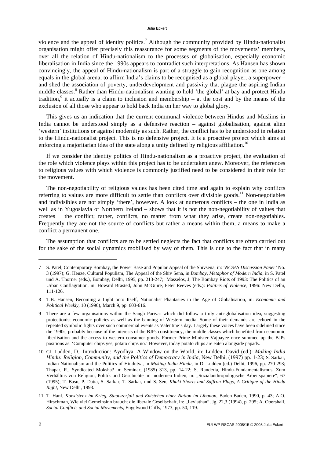#### Julia Eckert

violence and the appeal of identity politics.<sup>7</sup> Although the community provided by Hindu-nationalist organisation might offer precisely this reassurance for some segments of the movements' members, over all the relation of Hindu-nationalism to the processes of globalisation, especially economic liberalisation in India since the 1990s appears to contradict such interpretations. As Hansen has shown convincingly, the appeal of Hindu-nationalism is part of a struggle to gain recognition as one among equals in the global arena, to affirm India's claims to be recognised as a global player, a superpower – and shed the association of poverty, underdevelopment and passivity that plague the aspiring Indian middle classes.<sup>8</sup> Rather than Hindu-nationalism wanting to hold 'the global' at bay and protect Hindu tradition,<sup>9</sup> it actually is a claim to inclusion and membership – at the cost and by the means of the exclusion of all those who appear to hold back India on her way to global glory.

This gives us an indication that the current communal violence between Hindus and Muslims in India cannot be understood simply as a defensive reaction – against globalisation, against alien 'western' institutions or against modernity as such. Rather, the conflict has to be understood in relation to the Hindu-nationalist project. This is no defensive project. It is a proactive project which aims at enforcing a majoritarian idea of the state along a unity defined by religious affiliation.<sup>10</sup>

If we consider the identity politics of Hindu-nationalism as a proactive project, the evaluation of the role which violence plays within this project has to be undertaken anew. Moreover, the references to religious values with which violence is commonly justified need to be considered in their role for the movement.

The non-negotiability of religious values has been cited time and again to explain why conflicts referring to values are more difficult to settle than conflicts over divisible goods.<sup>11</sup> Non-negotiables and indivisibles are not simply 'there', however. A look at numerous conflicts – the one in India as well as in Yugoslavia or Northern Ireland – shows that it is not the non-negotiability of values that creates the conflict; rather, conflicts, no matter from what they arise, create non-negotiables. Frequently they are not the source of conflicts but rather a means within them, a means to make a conflict a permanent one.

The assumption that conflicts are to be settled neglects the fact that conflicts are often carried out for the sake of the social dynamics mobilised by way of them. This is due to the fact that in many

<sup>7</sup> S. Patel, Contemporary Bombay, the Power Base and Popular Appeal of the Shivsena, in: '*NCSAS Discussion Paper'* No. 3 (1997); G. Heuze, Cultural Populism, The Appeal of the Shiv Sena, in *Bombay, Metaphor of Modern India*, in S. Patel und A. Thorner (eds.), Bombay, Delhi, 1995, pp. 213-247; Masselos, J, The Bombay Riots of 1993: The Politics of an Urban Conflagration, in: Howard Brasted, John McGuire, Peter Reeves (eds.): *Politics of Violence,* 1996: New Delhi, 111-126.

<sup>8</sup> T.B. Hansen, Becoming a Light onto Itself, Nationalist Phantasies in the Age of Globalisation, in: *Economic and Political Weekly,* 10 (1996), March 9, pp. 603-616.

<sup>9</sup> There are a few organisations within the Sangh Parivar which did follow a truly anti-globalisation idea, suggesting protectionist economic policies as well as the banning of Western media. Some of their demands are echoed in the repeated symbolic fights over such commercial events as Valentine's day. Largely these voices have been sidelined since the 1990s, probably because of the interests of the BJPs constituency, the middle classes which benefited from economic liberlisation and the access to western consumer goods. Former Prime Minister Vajpayee once summed up the BJPs positions as: 'Computer chips yes, potato chips no.' However, today potato chips are eaten alongside papads.

<sup>10</sup> Cf. Ludden, D., Introduction: Ayodhya: A Window on the World, in: Ludden, David (ed.): *Making India Hindu: Religion, Community, and the Politics of Democracy in India*, New Delhi, (1997) pp. 1-23; S. Sarkar, Indian Nationalism and the Politics of Hindutva, in *Making India Hindu*, in D. Ludden (ed.) Delhi, 1996, pp. 270-293; Thapar, R., Syndicated Moksha? in: Seminar, (1985) 313, pp. 14-22; S. Randeria, Hindu-Fundamentalismus, Zum Verhältnis von Religion, Politik und Geschichte im modernen Indien, in: "Sozialanthropologische Arbeitspapiere", 67 (1995); T. Basu, P. Datta, S. Sarkar, T. Sarkar, und S. Sen, *Khaki Shorts and Saffron Flags, A Critique of the Hindu Right*, New Delhi, 1993.

<sup>11</sup> T. Hanf, *Koexistenz im Krieg, Staatszerfall und Entstehen einer Nation im Libanon*, Baden-Baden, 1990, p. 43; A.O. Hirschman, Wie viel Gemeinsinn braucht die liberale Gesellschaft, in: "Leviathan", Jg. 22,3 (1994), p. 295; A. Obershall, *Social Conflicts and Social Movements*, Engelwood Cliffs, 1973, pp. 50, 119.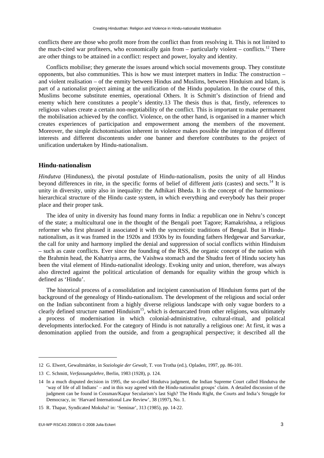conflicts there are those who profit more from the conflict than from resolving it. This is not limited to the much-cited war profiteers, who economically gain from  $-$  particularly violent  $-$  conflicts.<sup>12</sup> There are other things to be attained in a conflict: respect and power, loyalty and identity.

Conflicts mobilise; they generate the issues around which social movements group. They constitute opponents, but also communities. This is how we must interpret matters in India: The construction – and violent realisation – of the enmity between Hindus and Muslims, between Hinduism and Islam, is part of a nationalist project aiming at the unification of the Hindu population. In the course of this, Muslims become substitute enemies, operational Others. It is Schmitt's distinction of friend and enemy which here constitutes a people's identity.13 The thesis thus is that, firstly, references to religious values create a certain non-negotiability of the conflict. This is important to make permanent the mobilisation achieved by the conflict. Violence, on the other hand, is organised in a manner which creates experiences of participation and empowerment among the members of the movement. Moreover, the simple dichotomisation inherent in violence makes possible the integration of different interests and different discontents under one banner and therefore contributes to the project of unification undertaken by Hindu-nationalism.

## **Hindu-nationalism**

*Hindutva* (Hinduness), the pivotal postulate of Hindu-nationalism, posits the unity of all Hindus beyond differences in rite, in the specific forms of belief of different *jatis* (castes) and sects.14 It is unity in diversity, unity also in inequality: the Adhikari Bheda. It is the concept of the harmonioushierarchical structure of the Hindu caste system, in which everything and everybody has their proper place and their proper task.

The idea of unity in diversity has found many forms in India: a republican one in Nehru's concept of the state; a multicultural one in the thought of the Bengali poet Tagore; Ramakrishna, a religious reformer who first phrased it associated it with the syncretistic traditions of Bengal. But in Hindunationalism, as it was framed in the 1920s and 1930s by its founding fathers Hedgewar and Sarvarkar, the call for unity and harmony implied the denial and suppression of social conflicts within Hinduism – such as caste conflicts. Ever since the founding of the RSS, the organic concept of the nation with the Brahmin head, the Kshatriya arms, the Vaishwa stomach and the Shudra feet of Hindu society has been the vital element of Hindu-nationalist ideology. Evoking unity and union, therefore, was always also directed against the political articulation of demands for equality within the group which is defined as 'Hindu'.

The historical process of a consolidation and incipient canonisation of Hinduism forms part of the background of the genealogy of Hindu-nationalism. The development of the religious and social order on the Indian subcontinent from a highly diverse religious landscape with only vague borders to a clearly defined structure named Hinduism<sup>15</sup>, which is demarcated from other religions, was ultimately a process of modernisation in which colonial-administrative, cultural-ritual, and political developments interlocked. For the category of Hindu is not naturally a religious one: At first, it was a denomination applied from the outside, and from a geographical perspective; it described all the

<sup>12</sup> G. Elwert, Gewaltmärkte, in *Soziologie der Gewalt*, T. von Trotha (ed.), Opladen, 1997, pp. 86-101.

<sup>13</sup> C. Schmitt, *Verfassungslehre*, Berlin, 1983 (1928), p. 124.

<sup>14</sup> In a much disputed decision in 1995, the so-called Hindutva judgment, the Indian Supreme Court called Hindutva the 'way of life of all Indians' – and in this way agreed with the Hindu-nationalist groups' claim. A detailed discussion of the judgment can be found in Cossman/Kapur Secularism's last Sigh? The Hindu Right, the Courts and India's Struggle for Democracy, in: 'Harvard International Law Review', 38 (1997), No. 1.

<sup>15</sup> R. Thapar, Syndicated Moksha? in: 'Seminar', 313 (1985), pp. 14-22.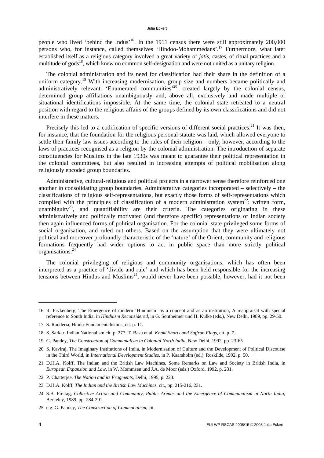#### Julia Eckert

people who lived 'behind the Indus'<sup>16</sup>. In the 1911 census there were still approximately 200,000 persons who, for instance, called themselves 'Hindoo-Mohammedans'.17 Furthermore, what later established itself as a religious category involved a great variety of *jatis*, castes, of ritual practices and a multitude of gods<sup>18</sup>, which knew no common self-designation and were not united as a unitary religion.

The colonial administration and its need for classification had their share in the definition of a uniform category.<sup>19</sup> With increasing modernisation, group size and numbers became politically and administratively relevant. 'Enumerated communities'<sup>20</sup>, created largely by the colonial census, determined group affiliations unambiguously and, above all, exclusively and made multiple or situational identifications impossible. At the same time, the colonial state retreated to a neutral position with regard to the religious affairs of the groups defined by its own classifications and did not interfere in these matters.

Precisely this led to a codification of specific versions of different social practices.<sup>21</sup> It was then, for instance, that the foundation for the religious personal statute was laid, which allowed everyone to settle their family law issues according to the rules of their religion – only, however, according to the laws of practices recognised as a religion by the colonial administration. The introduction of separate constituencies for Muslims in the late 1930s was meant to guarantee their political representation in the colonial committees, but also resulted in increasing attempts of political mobilisation along religiously encoded group boundaries.

Administrative, cultural-religious and political projects in a narrower sense therefore reinforced one another in consolidating group boundaries. Administrative categories incorporated – selectively – the classifications of religious self-representations, but exactly those forms of self-representations which complied with the principles of classification of a modern administration system<sup>22</sup>: written form, unambiguity<sup>23</sup>, and quantifiability are their criteria. The categories originating in these administratively and politically motivated (and therefore specific) representations of Indian society then again influenced forms of political organisation. For the colonial state privileged some forms of social organisation, and ruled out others. Based on the assumption that they were ultimately not political and moreover profoundly characteristic of the 'nature' of the Orient, community and religious formations frequently had wider options to act in public space than more strictly political organisations.24

The colonial privileging of religious and community organisations, which has often been interpreted as a practice of 'divide and rule' and which has been held responsible for the increasing tensions between Hindus and Muslims<sup>25</sup>, would never have been possible, however, had it not been

-

<sup>16</sup> R. Frykenberg, The Emergence of modern 'Hinduism' as a concept and as an institution, A reappraisal with special reference to South India, in *Hinduism Reconsidered*, in G. Sontheimer und H. Kulke (eds.), New Delhi, 1989, pp. 29-50.

<sup>17</sup> S. Randeria, Hindu-Fundamentalismus, cit. p. 11.

<sup>18</sup> S. Sarkar, Indian Nationalism cit. p. 277. T. Basu et al. *Khaki Shorts and Saffron Flags*, cit. p. 7.

<sup>19</sup> G. Pandey, *The Construction of Communalism in Colonial North India*, New Delhi, 1992, pp. 23-65.

<sup>20</sup> S. Kaviraj, The Imaginary Institutions of India, in Modernisation of Culture and the Development of Political Discourse in the Third World, in *International Development Studies*, in P. Kaarsholm (ed.), Roskilde, 1992, p. 50.

<sup>21</sup> D.H.A. Kolff, The Indian and the British Law Machines, Some Remarks on Law and Society in British India, in *European Expansion and Law*, in W. Mommsen und J.A. de Moor (eds.) Oxford, 1992, p. 231.

<sup>22</sup> P. Chatterjee, *The Nation and its Fragments*, Delhi, 1995, p. 223.

<sup>23</sup> D.H.A. Kolff, *The Indian and the British Law Machines*, cit., pp. 215-216, 231.

<sup>24</sup> S.B. Freitag, *Collective Action and Community, Public Arenas and the Emergence of Communalism in North India*, Berkeley, 1989, pp. 284-291.

<sup>25</sup> e.g. G. Pandey, *The Construction of Communalism*, cit.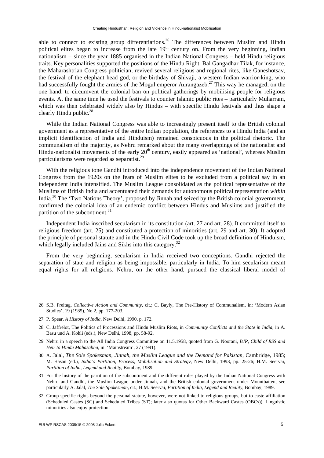able to connect to existing group differentiations.<sup>26</sup> The differences between Muslim and Hindu political elites began to increase from the late  $19<sup>th</sup>$  century on. From the very beginning, Indian nationalism – since the year 1885 organised in the Indian National Congress – held Hindu religious traits. Key personalities supported the positions of the Hindu Right. Bal Gangadhar Tilak, for instance, the Maharashtrian Congress politician, revived several religious and regional rites, like Ganeshotsav, the festival of the elephant head god, or the birthday of Shivaji, a western Indian warrior-king, who had successfully fought the armies of the Mogul emperor Aurangazeb.<sup>27</sup> This way he managed, on the one hand, to circumvent the colonial ban on political gatherings by mobilising people for religious events. At the same time he used the festivals to counter Islamic public rites – particularly Muharram, which was then celebrated widely also by Hindus – with specific Hindu festivals and thus shape a clearly Hindu public. $^{28}$ 

While the Indian National Congress was able to increasingly present itself to the British colonial government as a representative of the entire Indian population, the references to a Hindu India (and an implicit identification of India and Hinduism) remained conspicuous in the political rhetoric. The communalism of the majority, as Nehru remarked about the many overlappings of the nationalist and Hindu-nationalist movements of the early  $20<sup>th</sup>$  century, easily appeared as 'national', whereas Muslim particularisms were regarded as separatist.29

With the religious tone Gandhi introduced into the independence movement of the Indian National Congress from the 1920s on the fears of Muslim elites to be excluded from a political say in an independent India intensified. The Muslim League consolidated as the political representative of the Muslims of British India and accentuated their demands for autonomous political representation *within* India.30 The 'Two Nations Theory', proposed by Jinnah and seized by the British colonial government, confirmed the colonial idea of an endemic conflict between Hindus and Muslims and justified the partition of the subcontinent. $31$ 

Independent India inscribed secularism in its constitution (art. 27 and art. 28). It committed itself to religious freedom (art. 25) and constituted a protection of minorities (art. 29 and art. 30). It adopted the principle of personal statute and in the Hindu Civil Code took up the broad definition of Hinduism, which legally included Jains and Sikhs into this category.<sup>32</sup>

From the very beginning, secularism in India received two conceptions. Gandhi rejected the separation of state and religion as being impossible, particularly in India. To him secularism meant equal rights for all religions. Nehru, on the other hand, pursued the classical liberal model of

<sup>26</sup> S.B. Freitag, *Collective Action and Community*, cit.; C. Bayly, The Pre-History of Communalism, in: 'Modern Asian Studies', 19 (1985), No 2, pp. 177-203.

<sup>27</sup> P. Spear, *A History of India*, New Delhi, 1990, p. 172.

<sup>28</sup> C. Jaffrelot, The Politics of Processions and Hindu Muslim Riots, in *Community Conflicts and the State in India*, in A. Basu und A. Kohli (eds.), New Delhi, 1998, pp. 58-92.

<sup>29</sup> Nehru in a speech to the All India Congress Committee on 11.5.1958, quoted from G. Noorani, *BJP, Child of RSS and Heir to Hindu Mahasabha*, in: 'Mainstream', 27 (1991).

<sup>30</sup> A. Jalal, *The Sole Spokesman, Jinnah, the Muslim League and the Demand for Pakistan*, Cambridge, 1985; M. Hasan (ed.), *India's Partition, Process, Mobilisation and Strategy*, New Delhi, 1993, pp. 25-26; H.M. Seervai, *Partition of India, Legend and Reality*, Bombay, 1989.

<sup>31</sup> For the history of the partition of the subcontinent and the different roles played by the Indian National Congress with Nehru and Gandhi, the Muslim League under Jinnah, and the British colonial government under Mountbatten, see particularly A. Jalal, *The Sole Spokesman*, cit.; H.M. Seervai, *Partition of India, Legend and Reality*, Bombay, 1989.

<sup>32</sup> Group specific rights beyond the personal statute, however, were not linked to religious groups, but to caste affiliation (Scheduled Castes (SC) and Scheduled Tribes (ST); later also quotas for Other Backward Castes (OBCs)). Linguistic minorities also enjoy protection.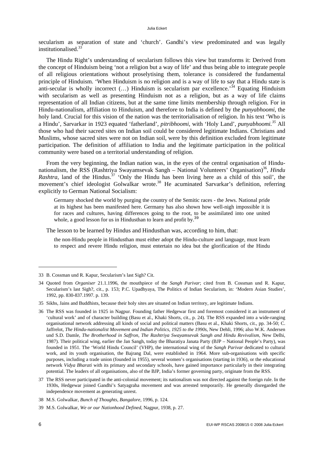secularism as separation of state and 'church'. Gandhi's view predominated and was legally institutionalised.33

The Hindu Right's understanding of secularism follows this view but transforms it: Derived from the concept of Hinduism being 'not a religion but a way of life' and thus being able to integrate people of all religious orientations without proselytising them, tolerance is considered the fundamental principle of Hinduism. 'When Hinduism is no religion and is a way of life to say that a Hindu state is anti-secular is wholly incorrect  $(...)$  Hinduism is secularism par excellence.<sup>34</sup> Equating Hinduism with secularism as well as presenting Hinduism not as a religion, but as a way of life claims representation of all Indian citizens, but at the same time limits membership through religion. For in Hindu-nationalism, affiliation to Hinduism, and therefore to India is defined by the *punyabhoomi*, the holy land. Crucial for this vision of the nation was the territorialisation of religion. In his text 'Who is a Hindu', Sarvarkar in 1923 equated 'fatherland', *pitribhoomi*, with 'Holy Land', *punyabhoomi.35* All those who had their sacred sites on Indian soil could be considered legitimate Indians. Christians and Muslims, whose sacred sites were not on Indian soil, were by this definition excluded from legitimate participation. The definition of affiliation to India and the legitimate participation in the political community were based on a territorial understanding of religion.

From the very beginning, the Indian nation was, in the eyes of the central organisation of Hindunationalism, the RSS (Rashtriya Swayamsevak Sangh – National Volunteers' Organisation)<sup>36</sup>, *Hindu Rashtra*, land of the Hindus.<sup>37</sup> 'Only the Hindu has been living here as a child of this soil', the movement's chief ideologist Golwalkar wrote.<sup>38</sup> He acuminated Sarvarkar's definition, referring explicitly to German National Socialism:

Germany shocked the world by purging the country of the Semitic races - the Jews. National pride at its highest has been manifested here. Germany has also shown how well-nigh impossible it is for races and cultures, having differences going to the root, to be assimilated into one united whole, a good lesson for us in Hindusthan to learn and profit by.<sup>39</sup>

The lesson to be learned by Hindus and Hindusthan was, according to him, that:

the non-Hindu people in Hindusthan must either adopt the Hindu-culture and language, must learn to respect and revere Hindu religion, must entertain no idea but the glorification of the Hindu

<sup>33</sup> B. Cossman und R. Kapur, Secularism's last Sigh? Cit.

<sup>34</sup> Quoted from *Organiser* 21.1.1996, the mouthpiece of the *Sangh Parivar*; cited from B. Cossman und R. Kapur, Secularism's last Sigh?, cit., p. 153; P.C. Upadhyaya, The Politics of Indian Secularism, in: 'Modern Asian Studies', 1992, pp. 830-837.1997. p. 139.

<sup>35</sup> Sikhs, Jains and Buddhists, because their holy sites are situated on Indian territory, are legitimate Indians.

<sup>36</sup> The RSS was founded in 1925 in Nagpur. Founding father Hedgewar first and foremost considered it an instrument of 'cultural work' and of character building (Basu et al., Khaki Shorts, cit., p. 24). The RSS expanded into a wide-ranging organisational network addressing all kinds of social and political matters (Basu et al., Khaki Shorts, cit., pp. 34-50; C. Jaffrelot, *The Hindu-nationalist Movement and Indian Politics, 1925 to the 1990s*, New Dehli, 1996; also W.K. Andersen und S.D. Damle, *The Brotherhood in Saffron, The Rashtriya Swayamsevak Sangh and Hindu Revivalism*, New Delhi, 1987). Their political wing, earlier the Jan Sangh, today the Bharatiya Janata Party (BJP – National People's Party), was founded in 1951. The 'World Hindu Council' (VHP), the international wing of the *Sangh Parivar* dedicated to cultural work, and its youth organisation, the Bajrang Dal, were established in 1964. More sub-organisations with specific purposes, including a trade union (founded in 1955), several women's organisations (starting in 1936), or the educational network *Vidya Bharati* with its primary and secondary schools, have gained importance particularly in their integrating potential. The leaders of all organisations, also of the BJP, India's former governing party, originate from the RSS.

<sup>37</sup> The RSS never participated in the anti-colonial movement; its nationalism was not directed against the foreign rule. In the 1930s, Hedgewar joined Gandhi's Satyagraha movement and was arrested temporarily. He generally disregarded the independence movement as generating unrest.

<sup>38</sup> M.S. Golwalkar, *Bunch of Thoughts, Bangalore*, 1996, p. 124.

<sup>39</sup> M.S. Golwalkar, *We or our Nationhood Defined*, Nagpur, 1938, p. 27.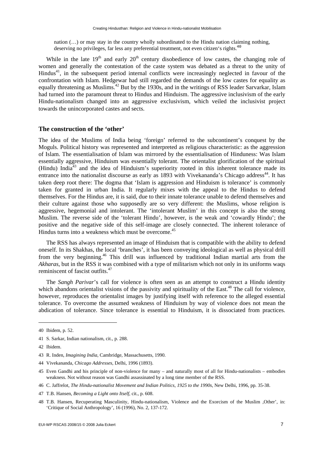nation (…) or may stay in the country wholly subordinated to the Hindu nation claiming nothing, deserving no privileges, far less any preferential treatment, not even citizen's rights.<sup>40</sup>

While in the late  $19<sup>th</sup>$  and early  $20<sup>th</sup>$  century disobedience of low castes, the changing role of women and generally the contestation of the caste system was debated as a threat to the unity of  $Hindus<sup>41</sup>$ , in the subsequent period internal conflicts were increasingly neglected in favour of the confrontation with Islam. Hedgewar had still regarded the demands of the low castes for equality as equally threatening as Muslims.<sup>42</sup> But by the 1930s, and in the writings of RSS leader Sarvarkar, Islam had turned into the paramount threat to Hindus and Hinduism. The aggressive inclusivism of the early Hindu-nationalism changed into an aggressive exclusivism, which veiled the inclusivist project towards the unincorporated castes and sects.

# **The construction of the 'other'**

The idea of the Muslims of India being 'foreign' referred to the subcontinent's conquest by the Moguls. Political history was represented and interpreted as religious characteristic: as the aggression of Islam. The essentialisation of Islam was mirrored by the essentialisation of Hinduness: Was Islam essentially aggressive, Hinduism was essentially tolerant. The orientalist glorification of the spiritual (Hindu) India<sup>43</sup> and the idea of Hinduism's superiority rooted in this inherent tolerance made its entrance into the nationalist discourse as early as 1893 with Vivekananda's Chicago address<sup>44</sup>. It has taken deep root there: The dogma that 'Islam is aggression and Hinduism is tolerance' is commonly taken for granted in urban India. It regularly mixes with the appeal to the Hindus to defend themselves. For the Hindus are, it is said, due to their innate tolerance unable to defend themselves and their culture against those who supposedly are so very different: the Muslims, whose religion is aggressive, hegemonial and intolerant. The 'intolerant Muslim' in this concept is also the strong Muslim. The reverse side of the 'tolerant Hindu', however, is the weak and 'cowardly Hindu'; the positive and the negative side of this self-image are closely connected. The inherent tolerance of Hindus turns into a weakness which must be overcome.<sup>45</sup>

The RSS has always represented an image of Hinduism that is compatible with the ability to defend oneself. In its Shakhas, the local 'branches', it has been conveying ideological as well as physical drill from the very beginning.46 This drill was influenced by traditional Indian martial arts from the *Akharas*, but in the RSS it was combined with a type of militarism which not only in its uniforms waqs reminiscent of fascist outfits.<sup>47</sup>

The *Sangh Parivar*'s call for violence is often seen as an attempt to construct a Hindu identity which abandons orientalist visions of the passivity and spirituality of the East.<sup>48</sup> The call for violence, however, reproduces the orientalist images by justifying itself with reference to the alleged essential tolerance. To overcome the assumed weakness of Hinduism by way of violence does not mean the abdication of tolerance. Since tolerance is essential to Hinduism, it is dissociated from practices.

<sup>40</sup> Ibidem, p. 52.

<sup>41</sup> S. Sarkar, Indian nationalism, cit., p. 288.

<sup>42</sup> Ibidem.

<sup>43</sup> R. Inden, *Imagining India*, Cambridge, Massachusetts, 1990.

<sup>44</sup> Vivekananda, *Chicago Addresses*, Delhi, 1996 (1893).

<sup>45</sup> Even Gandhi and his principle of non-violence for many – and naturally most of all for Hindu-nationalists – embodies weakness. Not without reason was Gandhi assassinated by a long time member of the RSS.

<sup>46</sup> C. Jaffrelot, *The Hindu-nationalist Movement and Indian Politics, 1925 to the 1990s*, New Delhi, 1996, pp. 35-38.

<sup>47</sup> T.B. Hansen, *Becoming a Light onto Itself*, cit., p. 608.

<sup>48</sup> T.B. Hansen, Recuperating Masculinity, Hindu-nationalism, Violence and the Exorcism of the Muslim ,Other', in: 'Critique of Social Anthropology', 16 (1996), No. 2, 137-172.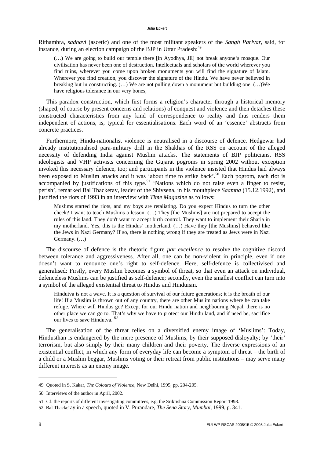#### Julia Eckert

Rithambra, *sadhavi* (ascetic) and one of the most militant speakers of the *Sangh Parivar*, said, for instance, during an election campaign of the BJP in Uttar Pradesh:<sup>49</sup>

(…) We are going to build our temple there [in Ayodhya, JE] not break anyone's mosque. Our civilisation has never been one of destruction. Intellectuals and scholars of the world wherever you find ruins, wherever you come upon broken monuments you will find the signature of Islam. Wherever you find creation, you discover the signature of the Hindu. We have never believed in breaking but in constructing.  $(...)$  We are not pulling down a monument but building one.  $(...)$ We have religious tolerance in our very bones,

This paradox construction, which first forms a religion's character through a historical memory (shaped, of course by present concerns and relations) of conquest and violence and then detaches these constructed characteristics from any kind of correspondence to reality and thus renders them independent of actions, is, typical for essentialisations. Each word of an 'essence' abstracts from concrete practices.

Furthermore, Hindu-nationalist violence is neutralised in a discourse of defence. Hedgewar had already institutionalised para-military drill in the Shakhas of the RSS on account of the alleged necessity of defending India against Muslim attacks. The statements of BJP politicians, RSS ideologists and VHP activists concerning the Gujarat pogroms in spring 2002 without exception invoked this necessary defence, too; and participants in the violence insisted that Hindus had always been exposed to Muslim attacks and it was 'about time to strike back'.<sup>50</sup> Each pogrom, each riot is accompanied by justifications of this type.<sup>51</sup> 'Nations which do not raise even a finger to resist, perish', remarked Bal Thackeray, leader of the Shivsena, in his mouthpiece *Saamna* (15.12.1992), and justified the riots of 1993 in an interview with *Time Magazine* as follows:

Muslims started the riots, and my boys are retaliating. Do you expect Hindus to turn the other cheek? I want to teach Muslims a lesson. (…) They [the Muslims] are not prepared to accept the rules of this land. They don't want to accept birth control. They want to implement their Sharia in my motherland. Yes, this is the Hindus' motherland. (…) Have they [the Muslims] behaved like the Jews in Nazi Germany? If so, there is nothing wrong if they are treated as Jews were in Nazi Germany. (…)

The discourse of defence is the rhetoric figure *par excellence* to resolve the cognitive discord between tolerance and aggressiveness. After all, one can be non-violent in principle, even if one doesn't want to renounce one's right to self-defence. Here, self-defence is collectivised and generalised: Firstly, every Muslim becomes a symbol of threat, so that even an attack on individual, defenceless Muslims can be justified as self-defence; secondly, even the smallest conflict can turn into a symbol of the alleged existential threat to Hindus and Hinduism.

Hindutva is not a wave. It is a question of survival of our future generations; it is the breath of our life! If a Muslim is thrown out of any country, there are other Muslim nations where he can take refuge. Where will Hindus go? Except for our Hindu nation and neighbouring Nepal, there is no other place we can go to. That's why we have to protect our Hindu land, and if need be, sacrifice our lives to save Hindutva.<sup>52</sup>

The generalisation of the threat relies on a diversified enemy image of 'Muslims': Today, Hindusthan is endangered by the mere presence of Muslims, by their supposed disloyalty; by 'their' terrorism, but also simply by their many children and their poverty. The diverse expressions of an existential conflict, in which any form of everyday life can become a symptom of threat – the birth of a child or a Muslim beggar, Muslims voting or their retreat from public institutions – may serve many different interests as an enemy image.

<sup>49</sup> Quoted in S. Kakar, *The Colours of Violence*, New Delhi, 1995, pp. 204-205.

<sup>50</sup> Interviews of the author in April, 2002.

<sup>51</sup> Cf. the reports of different investigating committees, e.g. the Srikrishna Commission Report 1998.

<sup>52</sup> Bal Thackeray in a speech, quoted in V. Purandare, *The Sena Story, Mumbai*, 1999, p. 341.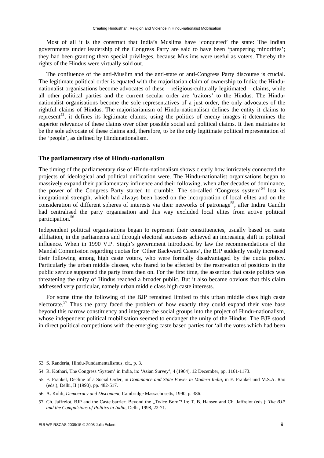Most of all it is the construct that India's Muslims have 'conquered' the state: The Indian governments under leadership of the Congress Party are said to have been 'pampering minorities'; they had been granting them special privileges, because Muslims were useful as voters. Thereby the rights of the Hindus were virtually sold out.

The confluence of the anti-Muslim and the anti-state or anti-Congress Party discourse is crucial. The legitimate political order is equated with the majoritarian claim of ownership to India; the Hindunationalist organisations become advocates of these – religious-culturally legitimated – claims, while all other political parties and the current secular order are 'traitors' to the Hindus. The Hindunationalist organisations become the sole representatives of a just order, the only advocates of the rightful claims of Hindus. The majoritarianism of Hindu-nationalism defines the entity it claims to represent<sup>53</sup>; it defines its legitimate claims; using the politics of enemy images it determines the superior relevance of these claims over other possible social and political claims. It then maintains to be the sole advocate of these claims and, therefore, to be the only legitimate political representation of the 'people', as defined by Hindunationalism.

# **The parliamentary rise of Hindu-nationalism**

The timing of the parliamentary rise of Hindu-nationalism shows clearly how intricately connected the projects of ideological and political unification were. The Hindu-nationalist organisations began to massively expand their parliamentary influence and their following, when after decades of dominance, the power of the Congress Party started to crumble. The so-called 'Congress system'54 lost its integrational strength, which had always been based on the incorporation of local elites and on the consideration of different spheres of interests via their networks of patronage<sup>55</sup>, after Indira Gandhi had centralised the party organisation and this way excluded local elites from active political participation.<sup>56</sup>

Independent political organisations began to represent their constituencies, usually based on caste affiliation, in the parliaments and through electoral successes achieved an increasing shift in political influence. When in 1990 V.P. Singh's government introduced by law the recommendations of the Mandal Commission regarding quotas for 'Other Backward Castes', the BJP suddenly vastly increased their following among high caste voters, who were formally disadvantaged by the quota policy. Particularly the urban middle classes, who feared to be affected by the reservation of positions in the public service supported the party from then on. For the first time, the assertion that caste politics was threatening the unity of Hindus reached a broader public. But it also became obvious that this claim addressed very particular, namely urban middle class high caste interests.

For some time the following of the BJP remained limited to this urban middle class high caste electorate.<sup>57</sup> Thus the party faced the problem of how exactly they could expand their vote base beyond this narrow constituency and integrate the social groups into the project of Hindu-nationalism, whose independent political mobilisation seemed to endanger the unity of the Hindus. The BJP stood in direct political competitions with the emerging caste based parties for 'all the votes which had been

<sup>53</sup> S. Randeria, Hindu-Fundamentalismus, cit., p. 3.

<sup>54</sup> R. Kothari, The Congress 'System' in India, in: 'Asian Survey', 4 (1964), 12 December, pp. 1161-1173.

<sup>55</sup> F. Frankel, Decline of a Social Order, in *Dominance and State Power in Modern India*, in F. Frankel und M.S.A. Rao (eds.), Delhi, II (1990), pp. 482-517.

<sup>56</sup> A. Kohli, *Democracy and Discontent*, Cambridge Massachusetts, 1990, p. 386.

<sup>57</sup> Ch. Jaffrelot, BJP and the Caste barrier; Beyond the "Twice Born'? In: T. B. Hansen and Ch. Jaffrelot (eds.): *The BJP and the Compulsions of Politics in India*, Delhi, 1998, 22-71.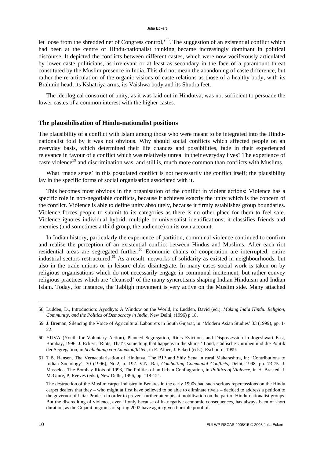let loose from the shredded net of Congress control,<sup>58</sup>. The suggestion of an existential conflict which had been at the centre of Hindu-nationalist thinking became increasingly dominant in political discourse. It depicted the conflicts between different castes, which were now vociferously articulated by lower caste politicians, as irrelevant or at least as secondary in the face of a paramount threat constituted by the Muslim presence in India. This did not mean the abandoning of caste difference, but rather the re-articulation of the organic visions of caste relations as those of a healthy body, with its Brahmin head, its Kshatriya arms, its Vaishwa body and its Shudra feet.

The ideological construct of unity, as it was laid out in Hindutva, was not sufficient to persuade the lower castes of a common interest with the higher castes.

# **The plausibilisation of Hindu-nationalist positions**

The plausibility of a conflict with Islam among those who were meant to be integrated into the Hindunationalist fold by it was not obvious. Why should social conflicts which affected people on an everyday basis, which determined their life chances and possibilities, fade in their experienced relevance in favour of a conflict which was relatively unreal in their everyday lives? The experience of caste violence<sup>59</sup> and discrimination was, and still is, much more common than conflicts with Muslims.

What 'made sense' in this postulated conflict is not necessarily the conflict itself; the plausibility lay in the specific forms of social organisation associated with it.

This becomes most obvious in the organisation of the conflict in violent actions: Violence has a specific role in non-negotiable conflicts, because it achieves exactly the unity which is the concern of the conflict. Violence is able to define unity absolutely, because it firmly establishes group boundaries. Violence forces people to submit to its categories as there is no other place for them to feel safe. Violence ignores individual hybrid, multiple or universalist identifications; it classifies friends and enemies (and sometimes a third group, the audience) on its own account.

In Indian history, particularly the experience of partition, communal violence continued to confirm and realise the perception of an existential conflict between Hindus and Muslims. After each riot residential areas are segregated further.<sup>60</sup> Economic chains of cooperation are interrupted, entire industrial sectors restructured.<sup>61</sup> As a result, networks of solidarity as existed in neighbourhoods, but also in the trade unions or in leisure clubs disintegrate. In many cases social work is taken on by religious organisations which do not necessarily engage in communal incitement, but rather convey religious practices which are 'cleansed' of the many syncretisms shaping Indian Hinduism and Indian Islam. Today, for instance, the Tabligh movement is very active on the Muslim side. Many attached

<sup>58</sup> Ludden, D., Introduction: Ayodhya: A Window on the World, in: Ludden, David (ed.): *Making India Hindu: Religion, Community, and the Politics of Democracy in India*, New Delhi, (1996) p 18.

<sup>59</sup> J. Breman, Silencing the Voice of Agricultural Labourers in South Gujarat, in: 'Modern Asian Studies' 33 (1999), pp. 1- 22.

<sup>60</sup> YUVA (Youth for Voluntary Action), Planned Segregation, Riots Evictions and Dispossession in Jogeshwari East, Bombay, 1996; J. Eckert, 'Riots, That's something that happens in the slums.' Land, städtische Unruhen und die Politik der Segregation, in *Schlichtung von Landkonflikten*, in E. Alber, J. Eckert (eds.), Eschborn, 1999.

<sup>61</sup> T.B. Hansen, The Vernacularisation of Hindutva, The BJP and Shiv Sena in rural Maharashtra, in: 'Contributions to Indian Sociology', 30 (1996), No.2, p. 192. V.N. Rai, *Combatting Communal Conflicts*, Delhi, 1998, pp. 73-75. J. Masselos, The Bombay Riots of 1993, The Politics of an Urban Conflagration, in *Politics of Violence*, in H. Brasted, J. McGuire, P. Reeves (eds.), New Delhi, 1996, pp. 118-121.

The destruction of the Muslim carpet industry in Benares in the early 1990s had such serious repercussions on the Hindu carpet dealers that they – who might at first have believed to be able to eliminate rivals – decided to address a petition to the governor of Uttar Pradesh in order to prevent further attempts at mobilisation on the part of Hindu-nationalist groups. But the discrediting of violence, even if only because of its negative economic consequences, has always been of short duration, as the Gujarat pogroms of spring 2002 have again given horrible proof of.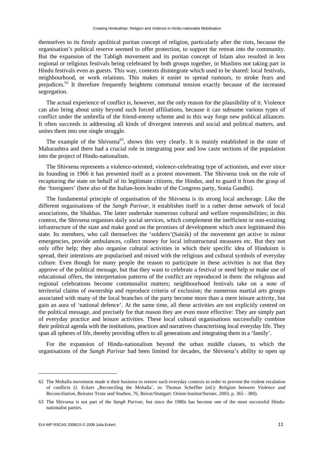themselves to its firmly apolitical puritan concept of religion, particularly after the riots, because the organisation's political reserve seemed to offer protection, to support the retreat into the community. But the expansion of the Tabligh movement and its puritan concept of Islam also resulted in less regional or religious festivals being celebrated by both groups together, in Muslims not taking part in Hindu festivals even as guests. This way, contexts disintegrate which used to be shared: local festivals, neighbourhood, or work relations. This makes it easier to spread rumours, to stroke fears and prejudices.62 It therefore frequently heightens communal tension exactly because of the increased segregation.

The actual experience of conflict is, however, not the only reason for the plausibility of it. Violence can also bring about unity beyond such forced affiliations, because it can subsume various types of conflict under the umbrella of the friend-enemy scheme and in this way forge new political alliances. It often succeeds in addressing all kinds of divergent interests and social and political matters, and unites them into one single struggle.

The example of the Shivsena<sup>63</sup>, shows this very clearly. It is mainly established in the state of Maharashtra and there had a crucial role in integrating poor and low caste sections of the population into the project of Hindu-nationalism.

The Shivsena represents a violence-oriented, violence-celebrating type of actionism, and ever since its founding in 1966 it has presented itself as a protest movement. The Shivsena took on the role of recapturing the state on behalf of its legitimate citizens, the Hindus, and to guard it from the grasp of the 'foreigners' (here also of the Italian-born leader of the Congress party, Sonia Gandhi).

The fundamental principle of organisation of the Shivsena is its strong local anchorage. Like the different organisations of the *Sangh Parivar*, it establishes itself in a rather dense network of local associations, the Shakhas. The latter undertake numerous cultural and welfare responsibilities; in this context, the Shivsena organises daily social services, which complement the inefficient or non-existing infrastructure of the state and make good on the promises of development which once legitimated this state. Its members, who call themselves the 'soldiers'(Sainik) of the movement get active in minor emergencies, provide ambulances, collect money for local infrastructural measures etc. But they not only offer help; they also organise cultural activities in which their specific idea of Hinduism is spread, their intentions are popularised and mixed with the religious and cultural symbols of everyday culture. Even though for many people the reason to participate in these activities is not that they approve of the political message, but that they want to celebrate a festival or need help or make use of educational offers, the interpretation patterns of the conflict are reproduced in them: the religious and regional celebrations become communalist matters; neighbourhood festivals take on a note of territorial claims of ownership and reproduce criteria of exclusion; the numerous martial arts groups associated with many of the local branches of the party become more than a mere leisure activity, but gain an aura of 'national defence'. At the same time, all these activities are not explicitly centred on the political message, and precisely for that reason they are even more effective: They are simply part of everyday practice and leisure activities. These local cultural organisations successfully combine their political agenda with the institutions, practices and narratives characterising local everyday life. They span all spheres of life, thereby providing offers to all generations and integrating them in a 'family'.

For the expansion of Hindu-nationalism beyond the urban middle classes, to which the organisations of the *Sangh Parivar* had been limited for decades, the Shivsena's ability to open up

<sup>62</sup> The Mohalla movement made it their business to restore such everyday contexts in order to prevent the violent escalation of conflicts (J. Eckert "Reconciling the Mohalla', in: Thomas Scheffler (ed.): *Religion between Violence and Reconciliation*, Beiruter Texte und Studien, 76, Beirut/Stuttgart: Orient-Institut/Steiner, 2003, p. 365 - 389).

<sup>63</sup> The Shivsena is not part of the *Sangh Parivar*, but since the 1980s has become one of the most successful Hindunationalist parties.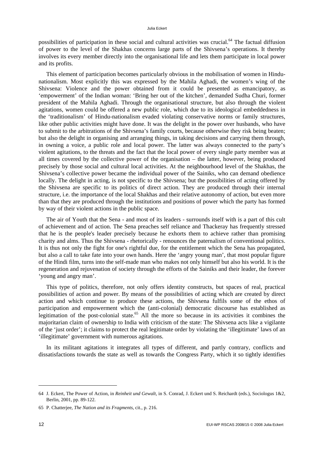possibilities of participation in these social and cultural activities was crucial.<sup>64</sup> The factual diffusion of power to the level of the Shakhas concerns large parts of the Shivsena's operations. It thereby involves its every member directly into the organisational life and lets them participate in local power and its profits.

This element of participation becomes particularly obvious in the mobilisation of women in Hindunationalism. Most explicitly this was expressed by the Mahila Aghadi, the women's wing of the Shivsena: Violence and the power obtained from it could be presented as emancipatory, as 'empowerment' of the Indian woman: 'Bring her out of the kitchen', demanded Sudha Churi, former president of the Mahila Aghadi. Through the organisational structure, but also through the violent agitations, women could be offered a new public role, which due to its ideological embeddedness in the 'traditionalism' of Hindu-nationalism evaded violating conservative norms or family structures, like other public activities might have done. It was the delight in the power over husbands, who have to submit to the arbitrations of the Shivsena's family courts, because otherwise they risk being beaten; but also the delight in organising and arranging things, in taking decisions and carrying them through, in owning a voice, a public role and local power. The latter was always connected to the party's violent agitations, to the threats and the fact that the local power of every single party member was at all times covered by the collective power of the organisation – the latter, however, being produced precisely by those social and cultural local activities. At the neighbourhood level of the Shakhas, the Shivsena's collective power became the individual power of the Sainiks, who can demand obedience locally. The delight in acting, is not specific to the Shivsena; but the possibilities of acting offered by the Shivsena are specific to its politics of direct action. They are produced through their internal structure, i.e. the importance of the local Shakhas and their relative autonomy of action, but even more than that they are produced through the institutions and positions of power which the party has formed by way of their violent actions in the public space.

The air of Youth that the Sena - and most of its leaders - surrounds itself with is a part of this cult of achievement and of action. The Sena preaches self reliance and Thackeray has frequently stressed that he is the people's leader precisely because he exhorts them to achieve rather than promising charity and alms. Thus the Shivsena - rhetorically - renounces the paternalism of conventional politics. It is thus not only the fight for one's rightful due, for the entitlement which the Sena has propagated, but also a call to take fate into your own hands. Here the 'angry young man', that most popular figure of the Hindi film, turns into the self-made man who makes not only himself but also his world. It is the regeneration and rejuvenation of society through the efforts of the Sainiks and their leader, the forever 'young and angry man'.

This type of politics, therefore, not only offers identity constructs, but spaces of real, practical possibilities of action and power. By means of the possibilities of acting which are created by direct action and which continue to produce these actions, the Shivsena fulfils some of the ethos of participation and empowerment which the (anti-colonial) democratic discourse has established as legitimation of the post-colonial state.<sup>65</sup> All the more so because in its activities it combines the majoritarian claim of ownership to India with criticism of the state: The Shivsena acts like a vigilante of the 'just order'; it claims to protect the real legitimate order by violating the 'illegitimate' laws of an 'illegitimate' government with numerous agitations.

In its militant agitations it integrates all types of different, and partly contrary, conflicts and dissatisfactions towards the state as well as towards the Congress Party, which it so tightly identifies

-

<sup>64</sup> J. Eckert, The Power of Action, in *Reinheit und Gewalt*, in S. Conrad, J. Eckert und S. Reichardt (eds.), Sociologus 1&2, Berlin, 2001, pp. 89-122.

<sup>65</sup> P. Chatterjee, *The Nation and its Fragments*, cit., p. 216.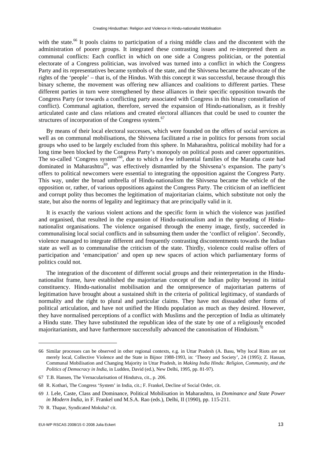with the state.<sup>66</sup> It pools claims to participation of a rising middle class and the discontent with the administration of poorer groups. It integrated these contrasting issues and re-interpreted them as communal conflicts: Each conflict in which on one side a Congress politician, or the potential electorate of a Congress politician, was involved was turned into a conflict in which the Congress Party and its representatives became symbols of the state, and the Shivsena became the advocate of the rights of the 'people' – that is, of the Hindus. With this concept it was successful, because through this binary scheme, the movement was offering new alliances and coalitions to different parties. These different parties in turn were strengthened by these alliances in their specific opposition towards the Congress Party (or towards a conflicting party associated with Congress in this binary constellation of conflict). Communal agitation, therefore, served the expansion of Hindu-nationalism, as it freshly articulated caste and class relations and created electoral alliances that could be used to counter the structures of incorporation of the Congress system.<sup>67</sup>

By means of their local electoral successes, which were founded on the offers of social services as well as on communal mobilisations, the Shivsena facilitated a rise in politics for persons from social groups who used to be largely excluded from this sphere. In Maharashtra, political mobility had for a long time been blocked by the Congress Party's monopoly on political posts and career opportunities. The so-called 'Congress system'<sup>68</sup>, due to which a few influential families of the Maratha caste had dominated in Maharashtra<sup>69</sup>, was effectively dismantled by the Shivsena's expansion. The party's offers to political newcomers were essential to integrating the opposition against the Congress Party. This way, under the broad umbrella of Hindu-nationalism the Shivsena became the vehicle of the opposition or, rather, of various oppositions against the Congress Party. The criticism of an inefficient and corrupt polity thus becomes the legitimation of majoritarian claims, which substitute not only the state, but also the norms of legality and legitimacy that are principally valid in it.

It is exactly the various violent actions and the specific form in which the violence was justified and organised, that resulted in the expansion of Hindu-nationalism and in the spreading of Hindunationalist organisations. The violence organised through the enemy image, firstly, succeeded in communalising local social conflicts and in subsuming them under the 'conflict of religion'. Secondly, violence managed to integrate different and frequently contrasting discontentments towards the Indian state as well as to communalise the criticism of the state. Thirdly, violence could realise offers of participation and 'emancipation' and open up new spaces of action which parliamentary forms of politics could not.

The integration of the discontent of different social groups and their reinterpretation in the Hindunationalist frame, have established the majoritarian concept of the Indian polity beyond its initial constituency. Hindu-nationalist mobilisation and the omnipresence of majoritarian patterns of legitimation have brought about a sustained shift in the criteria of political legitimacy, of standards of normality and the right to plural and particular claims. They have not dissuaded other forms of political articulation, and have not unified the Hindu population as much as they desired. However, they have normalised perceptions of a conflict with Muslims and the perception of India as ultimately a Hindu state. They have substituted the republican idea of the state by one of a religiously encoded majoritarianism, and have furthermore successfully advanced the canonisation of Hinduism.<sup>70</sup>

-

<sup>66</sup> Similar processes can be observed in other regional contexts, e.g. in Uttar Pradesh (A. Basu, Why local Riots are not merely local, Collective Violence and the State in Bijnor 1988-1993, in: 'Theory and Society', 24 (1995); Z. Hassan, Communal Mobilisation and Changing Majority in Uttar Pradesh, in *Making India Hindu: Religion, Community, and the Politics of Democracy in India*, in Ludden, David (ed.), New Delhi, 1995, pp. 81-97).

<sup>67</sup> T.B. Hansen, The Vernacularisation of Hindutva, cit., p. 206.

<sup>68</sup> R. Kothari, The Congress 'System' in India, cit.; F. Frankel, Decline of Social Order, cit.

<sup>69</sup> J. Lele, Caste, Class and Dominance, Political Mobilisation in Maharashtra, in *Dominance and State Power in Modern India*, in F. Frankel und M.S.A. Rao (eds.), Delhi, II (1990), pp. 115-211.

<sup>70</sup> R. Thapar, Syndicated Moksha? cit.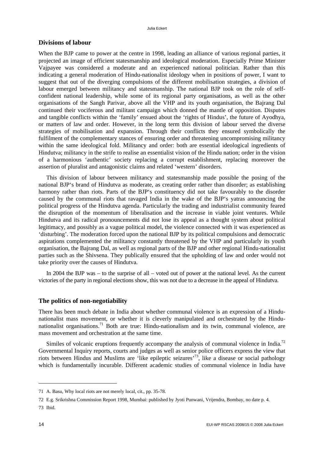## **Divisions of labour**

When the BJP came to power at the centre in 1998, leading an alliance of various regional parties, it projected an image of efficient statesmanship and ideological moderation. Especially Prime Minister Vajpayee was considered a moderate and an experienced national politician. Rather than this indicating a general moderation of Hindu-nationalist ideology when in positions of power, I want to suggest that out of the diverging compulsions of the different mobilisation strategies, a division of labour emerged between militancy and statesmanship. The national BJP took on the role of selfconfident national leadership, while some of its regional party organisations, as well as the other organisations of the Sangh Parivar, above all the VHP and its youth organisation, the Bajrang Dal continued their vociferous and militant campaign which donned the mantle of opposition. Disputes and tangible conflicts within the 'family' ensued about the 'rights of Hindus', the future of Ayodhya, or matters of law and order. However, in the long term this division of labour served the diverse strategies of mobilisation and expansion. Through their conflicts they ensured symbolically the fulfilment of the complementary stances of ensuring order and threatening uncompromising militancy within the same ideological fold. Militancy and order: both are essential ideological ingredients of Hindutva; militancy in the strife to realise an essentialist vision of the Hindu nation; order in the vision of a harmonious 'authentic' society replacing a corrupt establishment, replacing moreover the assertion of pluralist and antagonistic claims and related 'western' disorders.

This division of labour between militancy and statesmanship made possible the posing of the national BJP's brand of Hindutva as moderate, as creating order rather than disorder; as establishing harmony rather than riots. Parts of the BJP's constituency did not take favourably to the disorder caused by the communal riots that ravaged India in the wake of the BJP's yatras announcing the political progress of the Hindutva agenda. Particularly the trading and industrialist community feared the disruption of the momentum of liberalisation and the increase in viable joint ventures. While Hindutva and its radical pronouncements did not lose its appeal as a thought system about political legitimacy, and possibly as a vague political model, the violence connected with it was experienced as 'disturbing'. The moderation forced upon the national BJP by its political compulsions and democratic aspirations complemented the militancy constantly threatened by the VHP and particularly its youth organisation, the Bajrang Dal, as well as regional parts of the BJP and other regional Hindu-nationalist parties such as the Shivsena. They publically ensured that the upholding of law and order would not take priority over the causes of Hindutva.

In 2004 the BJP was – to the surprise of all – voted out of power at the national level. As the current victories of the party in regional elections show, this was not due to a decrease in the appeal of Hindutva.

# **The politics of non-negotiability**

There has been much debate in India about whether communal violence is an expression of a Hindunationalist mass movement, or whether it is cleverly manipulated and orchestrated by the Hindunationalist organisations.71 Both are true: Hindu-nationalism and its twin, communal violence, are mass movement and orchestration at the same time.

Similes of volcanic eruptions frequently accompany the analysis of communal violence in India.<sup>72</sup> Governmental Inquiry reports, courts and judges as well as senior police officers express the view that riots between Hindus and Muslims are 'like epileptic seizures'73, like a disease or social pathology which is fundamentally incurable. Different academic studies of communal violence in India have

<sup>71</sup> A. Basu, Why local riots are not merely local, cit., pp. 35-78.

<sup>72</sup> E.g. Srikrishna Commission Report 1998, Mumbai: published by Jyoti Punwani, Vrijendra, Bombay, no date p. 4.

<sup>73</sup> Ibid.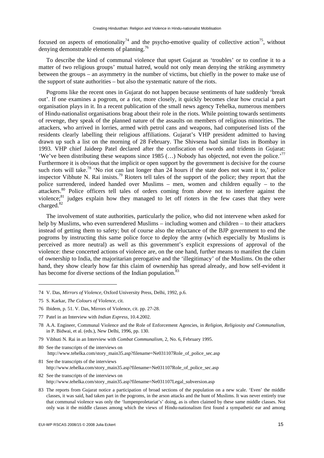focused on aspects of emotionality<sup>74</sup> and the psycho-emotive quality of collective action<sup>75</sup>, without denying demonstrable elements of planning.<sup>76</sup>

To describe the kind of communal violence that upset Gujarat as 'troubles' or to confine it to a matter of two religious groups' mutual hatred, would not only mean denying the striking asymmetry between the groups – an asymmetry in the number of victims, but chiefly in the power to make use of the support of state authorities – but also the systematic nature of the riots.

Pogroms like the recent ones in Gujarat do not happen because sentiments of hate suddenly 'break out'. If one examines a pogrom, or a riot, more closely, it quickly becomes clear how crucial a part organisation plays in it. In a recent publication of the small news agency Tehelka, numerous members of Hindu-nationalist organisations brag about their role in the riots. While pointing towards sentiments of revenge, they speak of the planned nature of the assaults on members of religious minorities. The attackers, who arrived in lorries, armed with petrol cans and weapons, had computerised lists of the residents clearly labelling their religious affiliations. Gujarat's VHP president admitted to having drawn up such a list on the morning of 28 February. The Shivsena had similar lists in Bombay in 1993. VHP chief Jaideep Patel declared after the confiscation of swords and tridents in Gujarat: 'We've been distributing these weapons since 1985  $(...)$  Nobody has objected, not even the police.'<sup>77</sup> Furthermore it is obvious that the implicit or open support by the government is decisive for the course such riots will take.<sup>78</sup> 'No riot can last longer than 24 hours if the state does not want it to,' police inspector Vibhute N. Rai insists.79 Rioters tell tales of the support of the police; they report that the police surrendered, indeed handed over Muslims – men, women and children equally – to the attackers.80 Police officers tell tales of orders coming from above not to interfere against the violence;<sup>81</sup> judges explain how they managed to let off rioters in the few cases that they were charged.<sup>82</sup>

The involvement of state authorities, particularly the police, who did not intervene when asked for help by Muslims, who even surrendered Muslims – including women and children – to their attackers instead of getting them to safety; but of course also the reluctance of the BJP government to end the pogroms by instructing this same police force to deploy the army (which especially by Muslims is perceived as more neutral) as well as this government's explicit expressions of approval of the violence: these concerted actions of violence are, on the one hand, further means to manifest the claim of ownership to India, the majoritarian prerogative and the 'illegitimacy' of the Muslims. On the other hand, they show clearly how far this claim of ownership has spread already, and how self-evident it has become for diverse sections of the Indian population.<sup>8</sup>

-

- 79 Vibhuti N. Rai in an Interview with *Combat Communalism*, 2, No. 6, February 1995.
- 80 See the transcripts of the interviews on http://www.tehelka.com/story\_main35.asp?filename=Ne031107Role\_of\_police\_sec.asp
- 81 See the transcripts of the interviews http://www.tehelka.com/story\_main35.asp?filename=Ne031107Role\_of\_police\_sec.asp

83 The reports from Gujarat notice a participation of broad sections of the population on a new scale. 'Even' the middle classes, it was said, had taken part in the pogroms, in the arson attacks and the hunt of Muslims. It was never entirely true that communal violence was only the 'lumpenproletariat's' doing, as is often claimed by these same middle classes. Not only was it the middle classes among which the views of Hindu-nationalism first found a sympathetic ear and among

<sup>74</sup> V. Das, *Mirrors of Violence*, Oxford University Press, Delhi, 1992, p.6.

<sup>75</sup> S. Karkar, *The Colours of Violence*, cit.

<sup>76</sup> Ibidem, p. 51. V. Das, Mirrors of Violence, cit. pp. 27-28.

<sup>77</sup> Patel in an Interview with *Indian Express*, 10.4.2002.

<sup>78</sup> A.A. Engineer, Communal Violence and the Role of Enforcement Agencies, in *Religion, Religiosity and Communalism*, in P. Bidwai, et al. (eds.), New Delhi, 1996, pp. 130.

<sup>82</sup> See the transcripts of the interviews on http://www.tehelka.com/story\_main35.asp?filename=Ne031107Legal\_subversion.asp